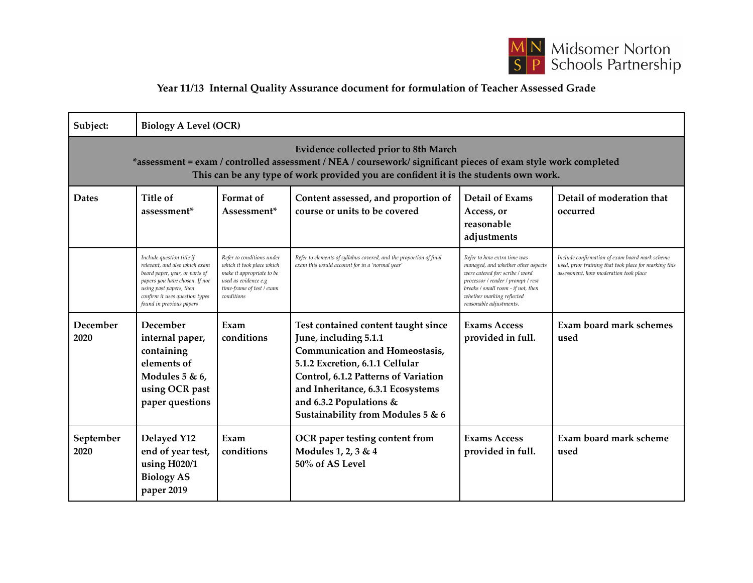

## **Year 11/13 Internal Quality Assurance document for formulation of Teacher Assessed Grade**

| Subject:                                                                                                                                                                                                                                               | <b>Biology A Level (OCR)</b>                                                                                                                                                                                            |                                                                                                                                                        |                                                                                                                                                                                                                                                                                       |                                                                                                                                                                                                                                          |                                                                                                                                                  |  |
|--------------------------------------------------------------------------------------------------------------------------------------------------------------------------------------------------------------------------------------------------------|-------------------------------------------------------------------------------------------------------------------------------------------------------------------------------------------------------------------------|--------------------------------------------------------------------------------------------------------------------------------------------------------|---------------------------------------------------------------------------------------------------------------------------------------------------------------------------------------------------------------------------------------------------------------------------------------|------------------------------------------------------------------------------------------------------------------------------------------------------------------------------------------------------------------------------------------|--------------------------------------------------------------------------------------------------------------------------------------------------|--|
| <b>Evidence collected prior to 8th March</b><br>*assessment = exam / controlled assessment / NEA / coursework/ significant pieces of exam style work completed<br>This can be any type of work provided you are confident it is the students own work. |                                                                                                                                                                                                                         |                                                                                                                                                        |                                                                                                                                                                                                                                                                                       |                                                                                                                                                                                                                                          |                                                                                                                                                  |  |
| <b>Dates</b>                                                                                                                                                                                                                                           | Title of<br>assessment <sup>*</sup>                                                                                                                                                                                     | Format of<br>Assessment*                                                                                                                               | Content assessed, and proportion of<br>course or units to be covered                                                                                                                                                                                                                  | <b>Detail of Exams</b><br>Access, or<br>reasonable<br>adjustments                                                                                                                                                                        | Detail of moderation that<br>occurred                                                                                                            |  |
|                                                                                                                                                                                                                                                        | Include question title if<br>relevant, and also which exam<br>board paper, year, or parts of<br>papers you have chosen. If not<br>using past papers, then<br>confirm it uses question types<br>found in previous papers | Refer to conditions under<br>which it took place which<br>make it appropriate to be<br>used as evidence e.g<br>time-frame of test / exam<br>conditions | Refer to elements of syllabus covered, and the proportion of final<br>exam this would account for in a 'normal year'                                                                                                                                                                  | Refer to how extra time was<br>managed, and whether other aspects<br>were catered for: scribe / word<br>processor / reader / prompt / rest<br>breaks / small room - if not, then<br>whether marking reflected<br>reasonable adjustments. | Include confirmation of exam board mark scheme<br>used, prior training that took place for marking this<br>assessment, how moderation took place |  |
| December<br>2020                                                                                                                                                                                                                                       | December<br>internal paper,<br>containing<br>elements of<br>Modules 5 & 6,<br>using OCR past<br>paper questions                                                                                                         | Exam<br>conditions                                                                                                                                     | Test contained content taught since<br>June, including 5.1.1<br><b>Communication and Homeostasis,</b><br>5.1.2 Excretion, 6.1.1 Cellular<br>Control, 6.1.2 Patterns of Variation<br>and Inheritance, 6.3.1 Ecosystems<br>and 6.3.2 Populations &<br>Sustainability from Modules 5 & 6 | <b>Exams Access</b><br>provided in full.                                                                                                                                                                                                 | Exam board mark schemes<br>used                                                                                                                  |  |
| September<br>2020                                                                                                                                                                                                                                      | Delayed Y12<br>end of year test,<br>using $H020/1$<br><b>Biology AS</b><br>paper 2019                                                                                                                                   | Exam<br>conditions                                                                                                                                     | OCR paper testing content from<br>Modules 1, 2, 3 & 4<br>50% of AS Level                                                                                                                                                                                                              | <b>Exams Access</b><br>provided in full.                                                                                                                                                                                                 | Exam board mark scheme<br>used                                                                                                                   |  |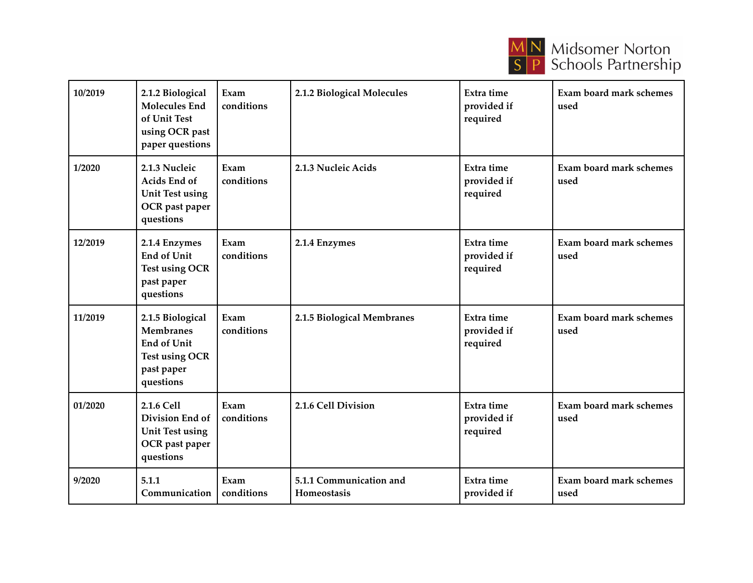

| 10/2019 | 2.1.2 Biological<br><b>Molecules End</b><br>of Unit Test<br>using OCR past<br>paper questions                  | Exam<br>conditions | 2.1.2 Biological Molecules             | Extra time<br>provided if<br>required | Exam board mark schemes<br>used        |
|---------|----------------------------------------------------------------------------------------------------------------|--------------------|----------------------------------------|---------------------------------------|----------------------------------------|
| 1/2020  | 2.1.3 Nucleic<br>Acids End of<br><b>Unit Test using</b><br>OCR past paper<br>questions                         | Exam<br>conditions | 2.1.3 Nucleic Acids                    | Extra time<br>provided if<br>required | <b>Exam board mark schemes</b><br>used |
| 12/2019 | 2.1.4 Enzymes<br><b>End of Unit</b><br><b>Test using OCR</b><br>past paper<br>questions                        | Exam<br>conditions | 2.1.4 Enzymes                          | Extra time<br>provided if<br>required | Exam board mark schemes<br>used        |
| 11/2019 | 2.1.5 Biological<br><b>Membranes</b><br><b>End of Unit</b><br><b>Test using OCR</b><br>past paper<br>questions | Exam<br>conditions | 2.1.5 Biological Membranes             | Extra time<br>provided if<br>required | Exam board mark schemes<br>used        |
| 01/2020 | 2.1.6 Cell<br>Division End of<br><b>Unit Test using</b><br>OCR past paper<br>questions                         | Exam<br>conditions | 2.1.6 Cell Division                    | Extra time<br>provided if<br>required | <b>Exam board mark schemes</b><br>used |
| 9/2020  | 5.1.1<br>Communication                                                                                         | Exam<br>conditions | 5.1.1 Communication and<br>Homeostasis | Extra time<br>provided if             | Exam board mark schemes<br>used        |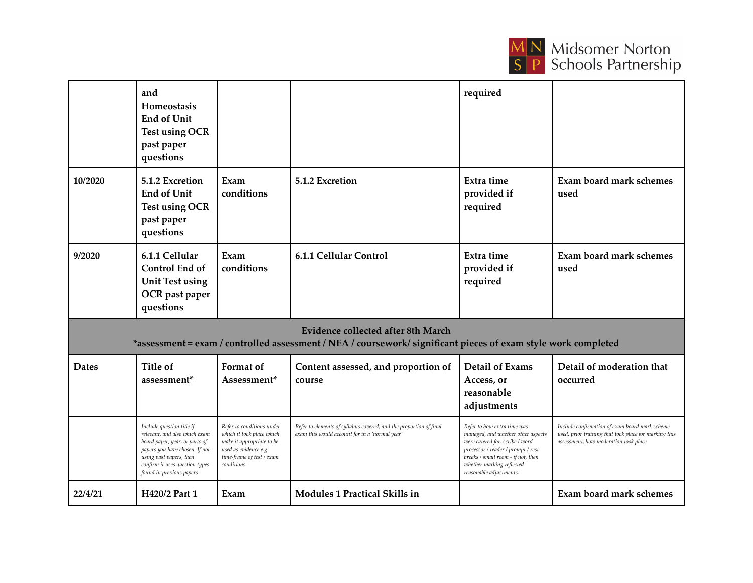

|                                                                                                                                                      | and<br>Homeostasis<br><b>End of Unit</b><br><b>Test using OCR</b><br>past paper<br>questions                                                                                                                            |                                                                                                                                                        |                                                                                                                      | required                                                                                                                                                                                                                                 |                                                                                                                                                  |  |
|------------------------------------------------------------------------------------------------------------------------------------------------------|-------------------------------------------------------------------------------------------------------------------------------------------------------------------------------------------------------------------------|--------------------------------------------------------------------------------------------------------------------------------------------------------|----------------------------------------------------------------------------------------------------------------------|------------------------------------------------------------------------------------------------------------------------------------------------------------------------------------------------------------------------------------------|--------------------------------------------------------------------------------------------------------------------------------------------------|--|
| 10/2020                                                                                                                                              | 5.1.2 Excretion<br>End of Unit<br><b>Test using OCR</b><br>past paper<br>questions                                                                                                                                      | Exam<br>conditions                                                                                                                                     | 5.1.2 Excretion                                                                                                      | Extra time<br>provided if<br>required                                                                                                                                                                                                    | Exam board mark schemes<br>used                                                                                                                  |  |
| 9/2020                                                                                                                                               | 6.1.1 Cellular<br>Control End of<br><b>Unit Test using</b><br>OCR past paper<br>questions                                                                                                                               | Exam<br>conditions                                                                                                                                     | 6.1.1 Cellular Control                                                                                               | Extra time<br>provided if<br>required                                                                                                                                                                                                    | Exam board mark schemes<br>used                                                                                                                  |  |
| Evidence collected after 8th March<br>*assessment = exam / controlled assessment / NEA / coursework/ significant pieces of exam style work completed |                                                                                                                                                                                                                         |                                                                                                                                                        |                                                                                                                      |                                                                                                                                                                                                                                          |                                                                                                                                                  |  |
| <b>Dates</b>                                                                                                                                         | Title of<br>assessment <sup>*</sup>                                                                                                                                                                                     | Format of<br>Assessment*                                                                                                                               | Content assessed, and proportion of<br>course                                                                        | <b>Detail of Exams</b><br>Access, or<br>reasonable<br>adjustments                                                                                                                                                                        | Detail of moderation that<br>occurred                                                                                                            |  |
|                                                                                                                                                      | Include question title if<br>relevant, and also which exam<br>board paper, year, or parts of<br>papers you have chosen. If not<br>using past papers, then<br>confirm it uses question types<br>found in previous papers | Refer to conditions under<br>which it took place which<br>make it appropriate to be<br>used as evidence e.g<br>time-frame of test / exam<br>conditions | Refer to elements of syllabus covered, and the proportion of final<br>exam this would account for in a 'normal year' | Refer to how extra time was<br>managed, and whether other aspects<br>were catered for: scribe / word<br>processor / reader / prompt / rest<br>breaks / small room - if not, then<br>whether marking reflected<br>reasonable adjustments. | Include confirmation of exam board mark scheme<br>used, prior training that took place for marking this<br>assessment, how moderation took place |  |
| 22/4/21                                                                                                                                              | H420/2 Part 1                                                                                                                                                                                                           | Exam                                                                                                                                                   | <b>Modules 1 Practical Skills in</b>                                                                                 |                                                                                                                                                                                                                                          | Exam board mark schemes                                                                                                                          |  |